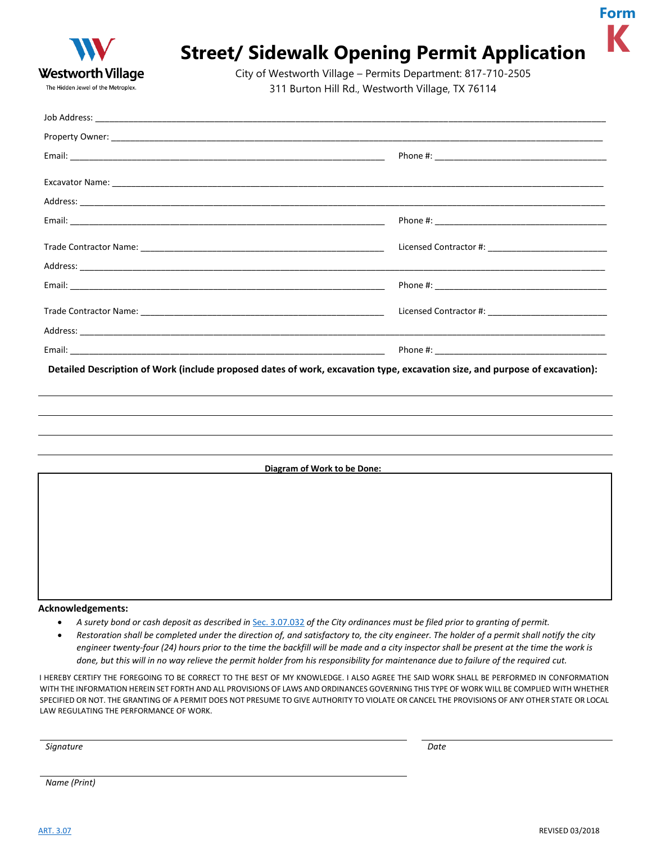

## **Street/ Sidewalk Opening Permit Application**

City of Westworth Village – Permits Department: 817-710-2505 311 Burton Hill Rd., Westworth Village, TX 76114

| Detailed Description of Work (include proposed dates of work, excavation type, excavation size, and purpose of excavation): |  |  |  |
|-----------------------------------------------------------------------------------------------------------------------------|--|--|--|
|                                                                                                                             |  |  |  |
|                                                                                                                             |  |  |  |
|                                                                                                                             |  |  |  |
|                                                                                                                             |  |  |  |
| Diagram of Work to be Done:                                                                                                 |  |  |  |
|                                                                                                                             |  |  |  |
|                                                                                                                             |  |  |  |
|                                                                                                                             |  |  |  |
|                                                                                                                             |  |  |  |
|                                                                                                                             |  |  |  |
|                                                                                                                             |  |  |  |
| Acknowledgements:                                                                                                           |  |  |  |

- *A surety bond or cash deposit as described in* [Sec. 3.07.032](http://z2codes.franklinlegal.net/franklin/Z2Browser2.html?showset=westworthvillageset&collection=westworthvillage&documentid=191#192) *of the City ordinances must be filed prior to granting of permit.*
- *Restoration shall be completed under the direction of, and satisfactory to, the city engineer. The holder of a permit shall notify the city engineer twenty-four (24) hours prior to the time the backfill will be made and a city inspector shall be present at the time the work is done, but this will in no way relieve the permit holder from his responsibility for maintenance due to failure of the required cut.*

I HEREBY CERTIFY THE FOREGOING TO BE CORRECT TO THE BEST OF MY KNOWLEDGE. I ALSO AGREE THE SAID WORK SHALL BE PERFORMED IN CONFORMATION WITH THE INFORMATION HEREIN SET FORTH AND ALL PROVISIONS OF LAWS AND ORDINANCES GOVERNING THIS TYPE OF WORK WILL BE COMPLIED WITH WHETHER SPECIFIED OR NOT. THE GRANTING OF A PERMIT DOES NOT PRESUME TO GIVE AUTHORITY TO VIOLATE OR CANCEL THE PROVISIONS OF ANY OTHER STATE OR LOCAL LAW REGULATING THE PERFORMANCE OF WORK.

*Signature Date*

*Name (Print)*

**Form**

**K**